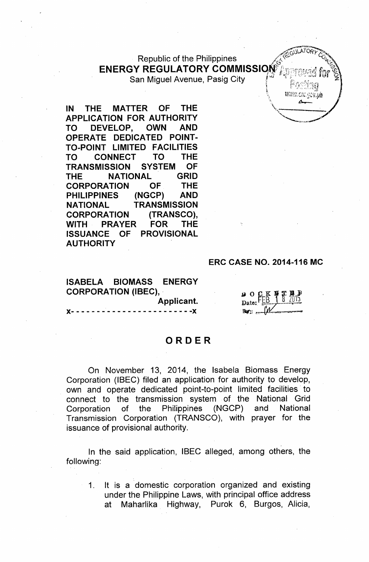# Republic of the Philippines ENERGY REGULATORY COMMISSION

San Miguel Avenue, Pasig City

**IN THE MATTER OF THE APPLICATION FOR AUTHORITY TO DEVELOP, OWN AND OPERATE DEDICATED POINT-TO-POINT LIMITED FACILITIES TO CONNECT TO THE TRANSMISSION SYSTEM OF THE NATIONAL GRID CORPORATION OF THE PHILIPPINES (NGCP) AND NATIONAL TRANSMISSION CORPORATION (TRANSCO), WITH PRAYER FOR THE ISSUANCE OF PROVISIONAL AUTHORITY**

#### **ERC CASE NO. 2014-116 MC**

**ISABELA BIOMASS ENERGY CORPORATION (IBEC), , Applicant.**

**)(- - - - - - - - - - - - - - - - - - - - - - - -)(**

#### **ORDER**

On November 13, 2014, the Isabela Biomass Energy Corporation (IBEC) filed an application for authority to develop, own and operate dedicated point-to-point limited facilities. to connect to the transmission system of the National Grid Corporation of the Philippines (NGCP) and National Transmission Corporation (TRANSCO), with prayer for the issuance of provisional authority.

In the said application, IBEC alleged, among others, the following:

1. It is a domestic corporation organized and existing under the Philippine Laws, with principal office address at Maharlika Highway, Purok 6, Burgos, Alicia,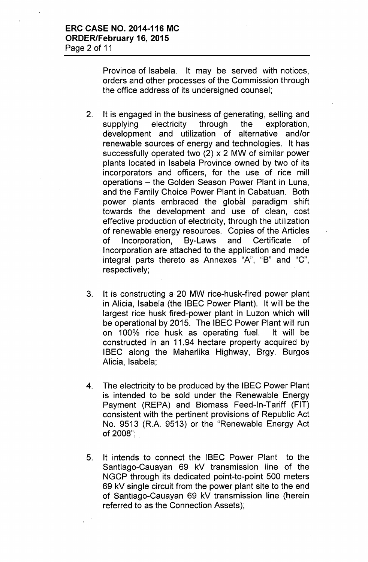Province of Isabela. It may be served with notices, orders and other processes of the Commission through the office address of its undersigned counsel;

- 2. It is engaged in the business of generating, selling and supplying electricity through the exploration, development and utilization of alternative and/or renewable sources of energy and technologies. It has successfully operated two (2) x 2 MW of similar power plants located in Isabela Province owned by two of its incorporators and officers, for the use of rice mill operations - the Golden Season Power Plant in Luna, and the Family Choice Power Plant in Cabatuan. Both power plants embraced the global paradigm shift towards the development and use of clean, cost effective production of electricity, through the utilization of renewable energy resources. Copies of the Articles of Incorporation, By-Laws and Certificate of Incorporation are attached to the application and made integral parts thereto as Annexes "A", "B" and "C", respectively;
- 3. It is constructing a 20 MW rice-husk-fired power plant in Alicia, Isabela (the IBEC Power Plant). It will be the largest rice husk fired-power plant in Luzon which will be operational by 2015. The IBEC Power Plant will run on 100% rice husk as operating fuel. It will be constructed in an 11.94 hectare property acquired by IBEC along the Maharlika Highway, Brgy. Burgos Alicia, Isabela;
- 4. The electricity to be produced by the IBEC Power Plant is intended to be sold under the Renewable Energy Payment (REPA) and Biomass Feed-In-Tariff (FIT) consistent with the pertinent provisions of Republic Act No. 9513 (R.A. 9513) or the "Renewable Energy Act of 2008";
- 5. It intends to connect the IBEC Power Plant to the Santiago-Cauayan 69 kV transmission line of the NGCP through its dedicated point-to-point 500 meters 69 kV single circuit from the power plant site to the end of Santiago-Cauayan 69 kV transmission line (herein referred to as the Connection Assets);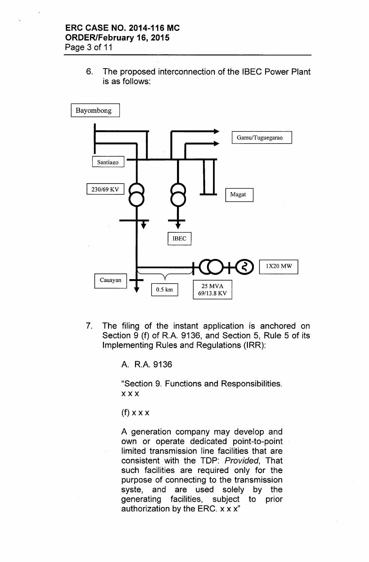6. The proposed interconnection of the IBEC Power Plant is as follows:



7. The filing of the instant application is anchored on Section 9 (f) of R.A. 9136, and Section 5, Rule 5 of its Implementing Rules and Regulations (IRR):

A. R.A.9136

"Section 9. Functions and Responsibilities. xxx

 $(f)$  x x x

A generation company may develop and own or operate dedicated point-to-point limited transmission line facilities that are consistent with the TOP: *Provided,* That such facilities are required only for the purpose of connecting to the transmission syste, and are used solely by the generating facilities, subject to prior authorization by the ERC.  $x x x$ "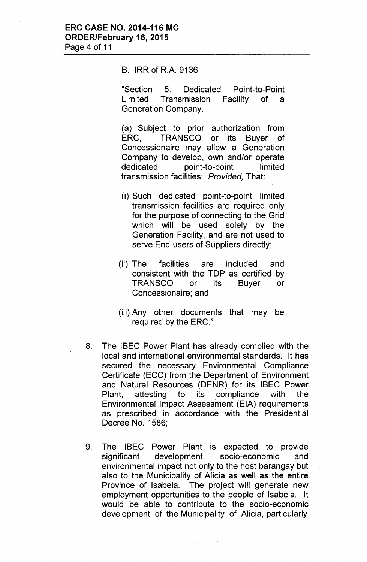#### B. IRR of R.A. 9136

"Section 5. Dedicated Point-to-Point Limited Transmission Facility of a Generation Company.

(a) Subject to prior authorization from ERC, TRANSCO or its Buyer of Concessionaire may allow a Generation Company to develop, own and/or operate dedicated point-to-point limited transmission facilities: *Provided,* That:

- (i) Such dedicated point-to-point limited transmission facilities are required only for the purpose of connecting to the Grid which will be used solely by the Generation Facility, and are not used to serve End-users of Suppliers directly;
- (ii) The facilities are included and consistent with the TOP as certified by TRANSCO or its Buyer or Concessionaire; and
- (iii) Any other documents that may be required by the ERC."
- 8. The IBEC Power Plant has already complied with the local and international environmental standards. It has secured the necessary Environmental Compliance Certificate (ECC) from the Department of Environment and Natural Resources (DENR) for its IBEC Power Plant, attesting to its compliance with the Environmental Impact Assessment (EIA) requirements as prescribed in accordance with the Presidential Decree No. 1586;
- 9. The IBEC Power Plant is expected to provide significant development, socio-economic and environmental impact not only to the host barangay but also to the Municipality of Alicia as well as the entire Province of Isabela. The project will generate new employment opportunities to the people of Isabela. It would be able to contribute to the socio-economic development of the Municipality of Alicia, particularly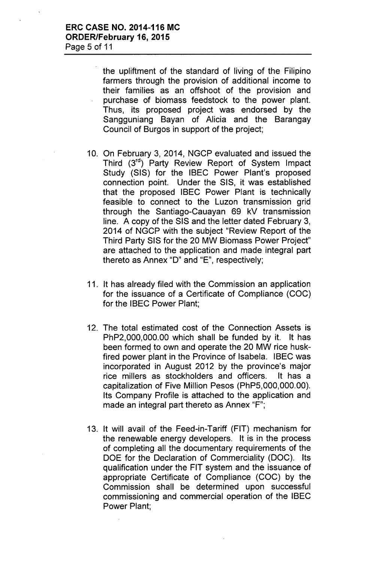the upliftment of the standard of living of the Filipino farmers through the provision of additional income to their families as an offshoot of the provision and purchase of biomass feedstock to the power plant. Thus, its proposed project was endorsed by the Sangguniang Sayan of Alicia and the Barangay Council of Burgos in support of the project;

- 10. On February 3, 2014, NGCP evaluated and issued the Third (3rd) Party Review Report of System Impact Study (SIS) for the IBEC Power Plant's proposed connection point. Under the SIS, it was established that the proposed IBEC Power Plant is technically feasible to connect to the Luzon transmission grid through the Santiago-Cauayan 69 kV transmission line. A copy of the SIS and the letter dated February 3, 2014 of NGCP with the subject "Review Report of the Third Party SIS for the 20 MW Biomass Power Project" are attached to the application and made integral part thereto as Annex "D" and "E", respectively;
- 11. It has already filed with the Commission an application for the issuance of a Certificate of Compliance (COC) for the IBEC Power Plant;
- 12. The total estimated cost of the Connection Assets is PhP2,OOO,OOO.00which shall be funded by it. It has been formed to own and operate the 20 MW rice huskfired power plant in the Province of Isabela. IBEC was incorporated in August 2012 by the province's major rice millers as stockholders and officers. It has a capitalization of Five Million Pesos (PhP5,OOO,OOO.00). Its Company Profile is attached to the application and made an integral part thereto as Annex "F";
- 13. It will avail of the Feed-in-Tariff (FIT) mechanism for the renewable energy developers. It is in the process of completing all the documentary requirements of the DOE for the Declaration of Commerciality (DOC). Its qualification under the FIT system and the issuance of appropriate Certificate of Compliance (COC) by the Commission shall be determined upon successful commissioning and commercial operation of the IBEC Power Plant;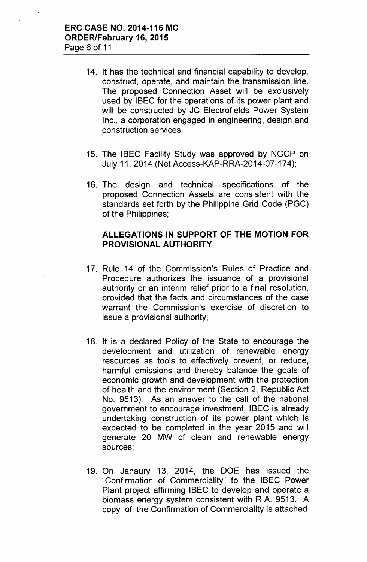- 14. It has the technical and financial capability to develop, construct, operate, and maintain the transmission line. The proposed Connection Asset will be exclusively used by IBEC for the operations of its power plant and will be constructed by JC Electrofields Power System Inc., a corporation engaged in engineering, design and construction services;
- 15. The IBEC Facility Study was approved by NGCP on July 11,2014 (Net Access-KAP-RRA-2014-07-174);
- 16. The design and technical specifications of the proposed Connection Assets are consistent with the standards set forth by the Philippine Grid Code (PGC) of the Philippines;

#### **ALLEGATIONS IN SUPPORT OF THE MOTION FOR PROVISIONAL AUTHORITY**

- 17. Rule 14 of the Commission's Rules of Practice and Procedure authorizes the issuance of a provisional authority or an interim relief prior to a final resolution, provided that the facts and circumstances of the case warrant the Commission's exercise of discretion to issue a provisional authority;
- 18. It is a declared Policy of the State to encourage the development and utilization of renewable energy resources as tools to effectively prevent, or reduce, harmful emissions and thereby balance the goals of economic growth and development with the protection of health and the environment (Section 2, Republic Act No. 9513). As an answer to the call of the national government to encourage investment, IBEC is already undertaking construction of its power plant which is expected to be completed in the year 2015 and will generate 20 MW of clean and renewable energy sources;
- 19. On Janaury 13, 2014, the DOE has issued the "Confirmation of Commerciality" to the IBEC Power Plant project affirming IBEC to develop and operate a biomass energy system consistent with R.A. 9513. A copy of the Confirmation of Commerciality is attached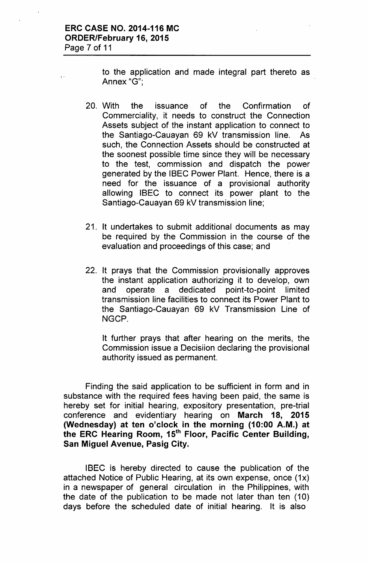, .

to the application and made integral part thereto as Annex "G'",

- 20. With the issuance of the Confirmation of Commerciality, it needs to construct the Connection Assets subject of the instant application to connect to the Santiago-Cauayan 69 kV transmission line. As such, the Connection Assets should be constructed at the soonest possible time since they will be necessary to the test, commission and dispatch the power generated by the IBEC Power Plant. Hence, there is a need for the issuance of a provisional authority allowing IBEC to connect its power plant to the Santiago-Cauayan 69 kV transmission line;
- 21. It undertakes to submit additional documents as may be required by the Commission in the course of the evaluation and proceedings of this case; and
- 22. It prays that the Commission provisionally approves the instant application authorizing it to develop, own and operate a dedicated point-to-point limited transmission line facilities to connect its Power Plant to the Santiago-Cauayan 69 kV Transmission Line of NGCP.

It further prays that after hearing on the merits, the Commission issue a Decisiion declaring the provisional authority issued as permanent.

Finding the said application to be sufficient in form and in substance with the required fees having been paid, the same is hereby set for initial hearing, expository presentation, pre-trial conference and evidentiary hearing on March 18, 2015 (Wednesday) at ten o'clock in the morning (10:00 A.M.) at the ERC Hearing Room, 15<sup>th</sup> Floor, Pacific Center Building, San Miguel Avenue, Pasig City.

IBEC is hereby directed to cause the publication of the attached Notice of Public Hearing, at its own expense, once (1x) in a newspaper of general circulation in the Philippines, with the date of the publication to be made not later than ten (10) days before the scheduled date of initial- hearing. It is also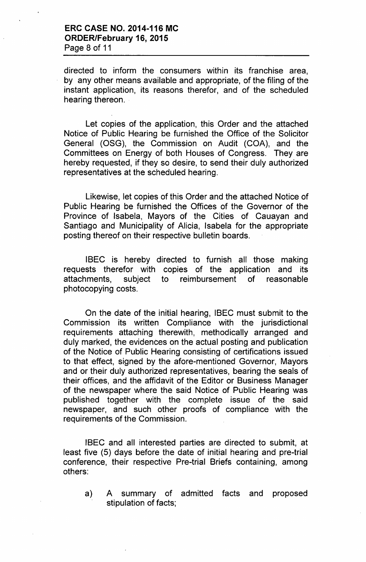directed to inform the consumers within its franchise area, by any other means available and appropriate, of the filing of the instant application, its reasons therefor, and of the scheduled hearing thereon.

Let copies of the application, this Order and the attached Notice of Public Hearing be furnished the Office of the Solicitor General (OSG), the Commission on Audit (COA), and the Committees on Energy of both Houses of Congress. They are hereby requested, if they so desire, to send their duly authorized representatives at the scheduled hearing.

Likewise, let copies of this Order and the attached Notice of Public Hearing be furnished the Offices of the Governor of the Province of Isabela, Mayors of the Cities of Cauayan and Santiago and Municipality of Alicia, Isabela for the appropriate posting thereof on their respective bulletin boards.

IBEC is hereby directed to furnish all those making requests therefor with copies of the application and its attachments, subject to reimbursement of reasonable photocopying costs.

On the date of the initial hearing, IBEC must submit to the Commission its written Compliance with the jurisdictional requirements attaching therewith, methodically arranged and duly marked, the evidences on the actual posting and publication of the Notice of Public Hearing consisting of certifications issued to that effect, signed by the afore-mentioned Governor, Mayors and or their duly authorized representatives, bearing the seals of their offices, and the affidavit of the Editor or Business Manager of the newspaper where the said Notice of Public Hearing was published together with the complete issue of the said newspaper, and such other proofs of compliance with the requirements of the Commission.

IBEC and all interested parties are directed to submit, at least five (5) days before the date of initial hearing and pre-trial conference, their respective Pre-trial Briefs containing, among others:

a) A summary of admitted facts and proposed stipulation of facts;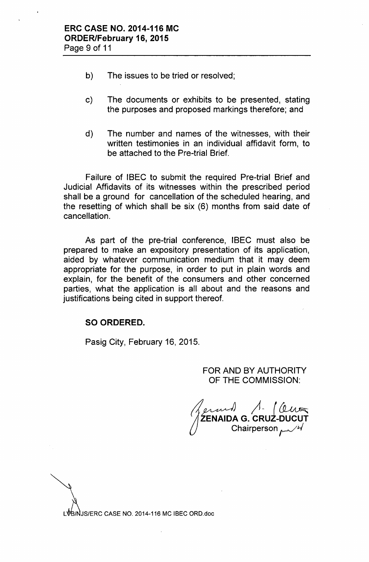- b) The issues to be tried or resolved;
- c) The documents or exhibits to be presented, stating the purposes and proposed markings therefore; and
- d) The number and names of the witnesses, with their written testimonies in an individual affidavit form, to be attached to the Pre-trial Brief.

Failure of IBEC to submit the required Pre-trial Brief and Judicial Affidavits of its witnesses within the prescribed period shall be a ground for cancellation of the scheduled hearing, and the resetting of which shall be six (6) months from said date of cancellation.

As part of the pre-trial conference, IBEC must also be prepared to make an expository presentation of its application, aided by whatever communication medium that it may deem appropriate for the purpose, in order to put in plain words and explain, for the benefit of the consumers and other concerned parties, what the application is all about and the reasons and justifications being cited in support thereof.

## SO ORDERED.

Pasig City, February 16, 2015.

## FOR AND BY AUTHORITY OF THE COMMISSION:

 $\bigcup$ ferm*1* 1. 16 ZENAIDA G. CRUZ-DUCU Chairperson  $\mu$ 

L / JS/ERC CASE NO. 2014-116 MC IBEC ORO.doc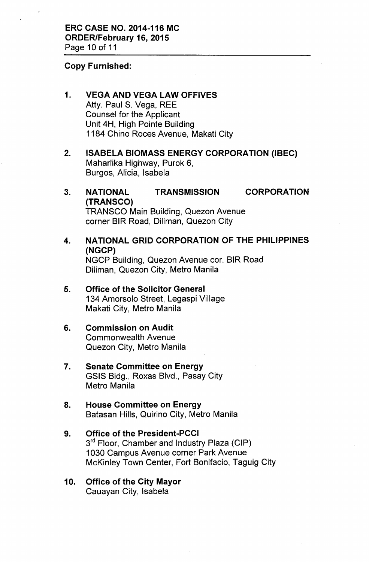#### Copy Furnished:

## 1. VEGA AND VEGA LAW OFFIVES

Atty. Paul S. Vega, REE Counsel for the Applicant Unit 4H, High Pointe Building 1184 Chino Roces Avenue, Makati City

- 2. ISABELA BIOMASS ENERGY CORPORATION (IBEC) Maharlika Highway, Purok 6, Burgos, Alicia, Isabela
- 3. NATIONAL TRANSMISSION CORPORATION (TRANSCO) TRANSCO Main Building, Quezon Avenue corner BIR Road, Diliman, Quezon City
- 4. NATIONAL GRID CORPORATION OF THE PHILIPPINES (NGCP) NGCP Building, Quezon Avenue cor. BIR Road Diliman, Quezon City, Metro Manila
- 5. Office of the Solicitor General 134 Amorsolo Street, Legaspi Village Makati City, Metro Manila
- 6. Commission on Audit Commonwealth Avenue Quezon City, Metro Manila
- 7. Senate Committee on Energy GSIS Bldg., Roxas Blvd., Pasay City Metro Manila
- 8. House Committee on Energy Batasan Hills, Quirino City, Metro Manila
- 9. Office of the President-PCCI 3<sup>rd</sup> Floor, Chamber and Industry Plaza (CIP) 1030 Campus Avenue corner Park Avenue McKinley Town Center, Fort Bonifacio, Taguig City
- 10. Office of the City Mayor Cauayan City, Isabela